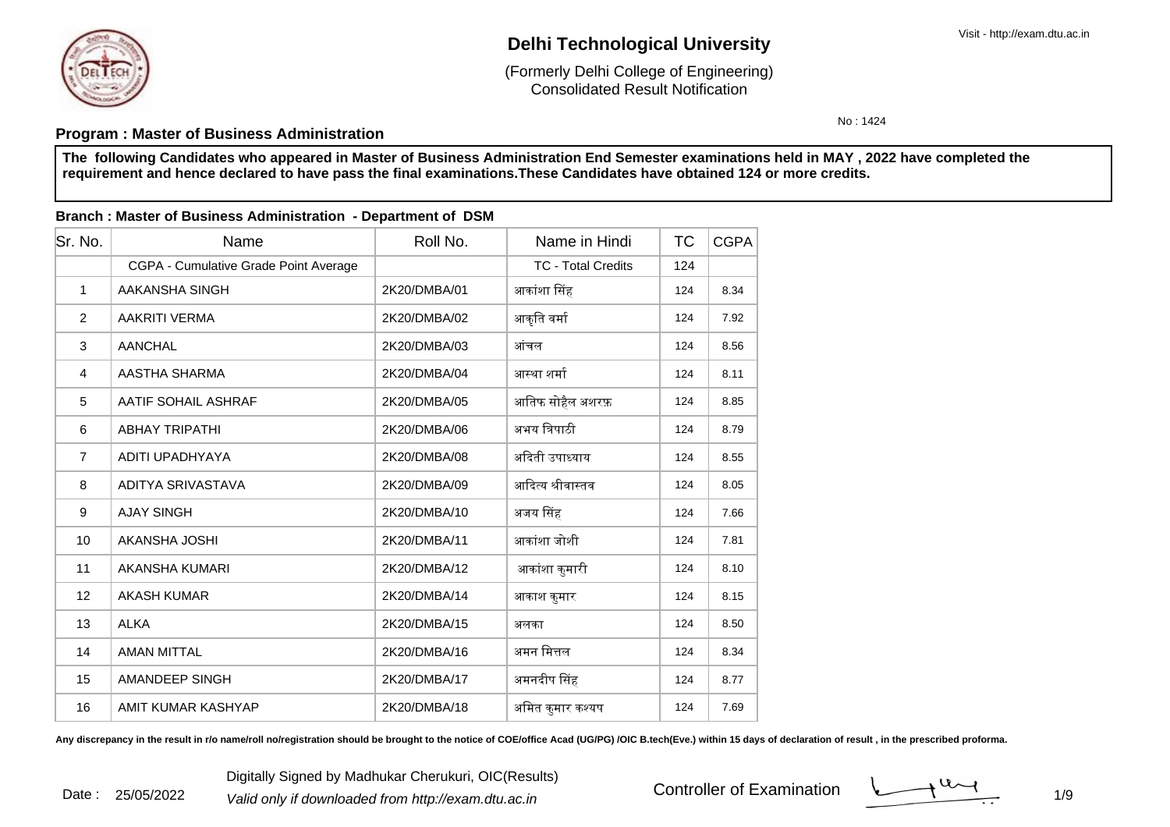# **Delhi Technological University**

Consolidated Result Notification(Formerly Delhi College of Engineering)

No : 1424

## **Program : Master of Business Administration**

 **The following Candidates who appeared in Master of Business Administration End Semester examinations held in MAY , 2022 have completed therequirement and hence declared to have pass the final examinations.These Candidates have obtained 124 or more credits.**

### **Branch : Master of Business Administration - Department of DSM**

| Sr. No.        | Name                                  | Roll No.     | Name in Hindi             | ТC  | <b>CGPA</b> |
|----------------|---------------------------------------|--------------|---------------------------|-----|-------------|
|                | CGPA - Cumulative Grade Point Average |              | <b>TC - Total Credits</b> | 124 |             |
| 1              | AAKANSHA SINGH                        | 2K20/DMBA/01 | आकांशा सिंह               | 124 | 8.34        |
| $\overline{2}$ | <b>AAKRITI VERMA</b>                  | 2K20/DMBA/02 | आकृति वर्मा               | 124 | 7.92        |
| 3              | <b>AANCHAL</b>                        | 2K20/DMBA/03 | आंचल                      | 124 | 8.56        |
| $\overline{4}$ | AASTHA SHARMA                         | 2K20/DMBA/04 | आस्था शर्मा               | 124 | 8.11        |
| 5              | AATIF SOHAIL ASHRAF                   | 2K20/DMBA/05 | आतिफ सोहैल अशरफ़          | 124 | 8.85        |
| 6              | <b>ABHAY TRIPATHI</b>                 | 2K20/DMBA/06 | अभय त्रिपाठी              | 124 | 8.79        |
| $\overline{7}$ | ADITI UPADHYAYA                       | 2K20/DMBA/08 | अदिती उपाध्याय            | 124 | 8.55        |
| 8              | ADITYA SRIVASTAVA                     | 2K20/DMBA/09 | आदित्य श्रीवास्तव         | 124 | 8.05        |
| 9              | <b>AJAY SINGH</b>                     | 2K20/DMBA/10 | अजय सिंह                  | 124 | 7.66        |
| 10             | AKANSHA JOSHI                         | 2K20/DMBA/11 | आकांशा जोशी               | 124 | 7.81        |
| 11             | AKANSHA KUMARI                        | 2K20/DMBA/12 | आकांशा कुमारी             | 124 | 8.10        |
| 12             | <b>AKASH KUMAR</b>                    | 2K20/DMBA/14 | आकाश कुमार                | 124 | 8.15        |
| 13             | <b>ALKA</b>                           | 2K20/DMBA/15 | अलका                      | 124 | 8.50        |
| 14             | <b>AMAN MITTAL</b>                    | 2K20/DMBA/16 | अमन मित्तल                | 124 | 8.34        |
| 15             | AMANDEEP SINGH                        | 2K20/DMBA/17 | अमनदीप सिंह               | 124 | 8.77        |
| 16             | AMIT KUMAR KASHYAP                    | 2K20/DMBA/18 | अमित कुमार कश्यप          | 124 | 7.69        |

Any discrepancy in the result in r/o name/roll no/registration should be brought to the notice of COE/office Acad (UG/PG) /OIC B.tech(Eve.) within 15 days of declaration of result, in the prescribed proforma.

Digitally Signed by Madhukar Cherukuri, OIC(Results)<br><sup>2</sup> Valid only if downloaded from http://exam.dtu.ac.in Controller of Examination

 $\frac{1}{1/9}$  1/9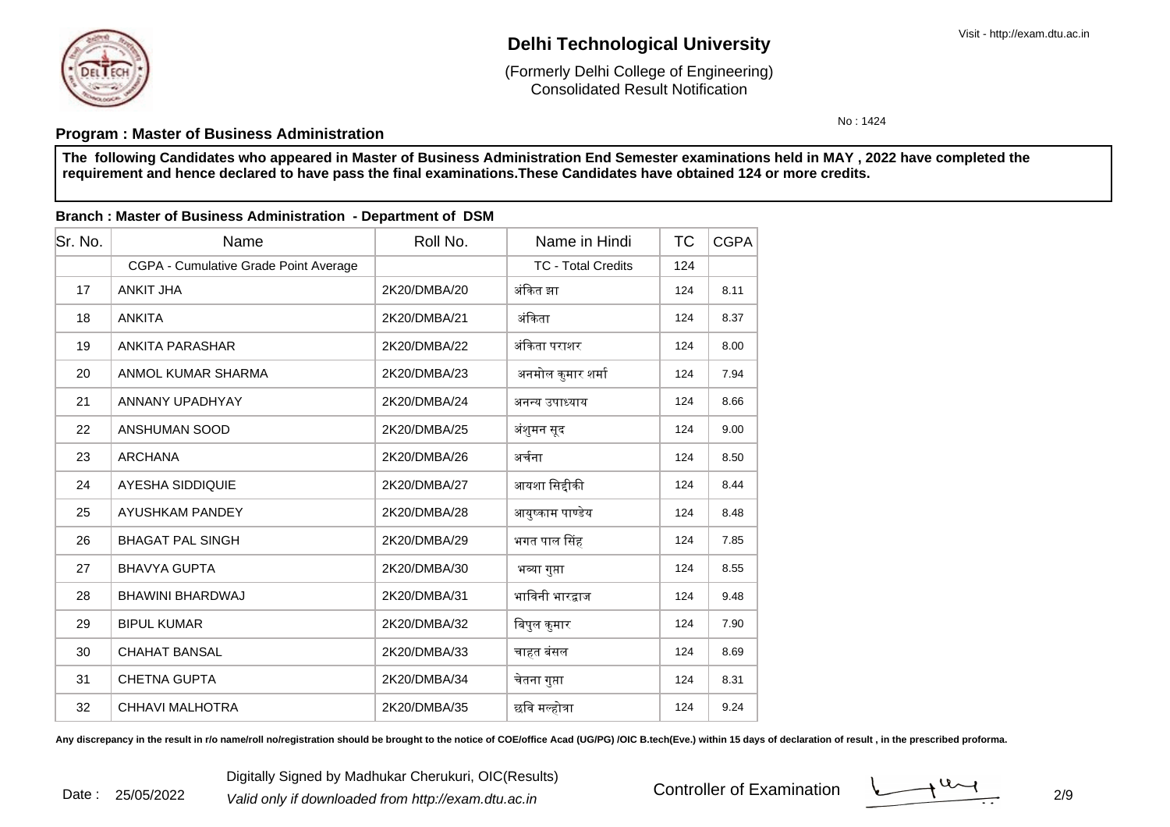Consolidated Result Notification(Formerly Delhi College of Engineering)

No : 1424

## **Program : Master of Business Administration**

 **The following Candidates who appeared in Master of Business Administration End Semester examinations held in MAY , 2022 have completed therequirement and hence declared to have pass the final examinations.These Candidates have obtained 124 or more credits.**

### **Branch : Master of Business Administration - Department of DSM**

| lSr. No. | Name                                  | Roll No.     | Name in Hindi             | ТC  | CGPA |
|----------|---------------------------------------|--------------|---------------------------|-----|------|
|          | CGPA - Cumulative Grade Point Average |              | <b>TC - Total Credits</b> | 124 |      |
| 17       | <b>ANKIT JHA</b>                      | 2K20/DMBA/20 | अंकित झा                  | 124 | 8.11 |
| 18       | <b>ANKITA</b>                         | 2K20/DMBA/21 | अंकिता                    | 124 | 8.37 |
| 19       | <b>ANKITA PARASHAR</b>                | 2K20/DMBA/22 | अंकिता पराशर              | 124 | 8.00 |
| 20       | ANMOL KUMAR SHARMA                    | 2K20/DMBA/23 | अनमोल कुमार शर्मा         | 124 | 7.94 |
| 21       | ANNANY UPADHYAY                       | 2K20/DMBA/24 | अनन्य उपाध्याय            | 124 | 8.66 |
| 22       | ANSHUMAN SOOD                         | 2K20/DMBA/25 | अंशुमन सूद                | 124 | 9.00 |
| 23       | <b>ARCHANA</b>                        | 2K20/DMBA/26 | अर्चना                    | 124 | 8.50 |
| 24       | AYESHA SIDDIQUIE                      | 2K20/DMBA/27 | आयशा सिद्दीकी             | 124 | 8.44 |
| 25       | <b>AYUSHKAM PANDEY</b>                | 2K20/DMBA/28 | आयुष्काम पाण्डेय          | 124 | 8.48 |
| 26       | <b>BHAGAT PAL SINGH</b>               | 2K20/DMBA/29 | भगत पाल सिंह              | 124 | 7.85 |
| 27       | <b>BHAVYA GUPTA</b>                   | 2K20/DMBA/30 | भव्या गुप्ता              | 124 | 8.55 |
| 28       | <b>BHAWINI BHARDWAJ</b>               | 2K20/DMBA/31 | भाविनी भारद्वाज           | 124 | 9.48 |
| 29       | <b>BIPUL KUMAR</b>                    | 2K20/DMBA/32 | बिपुल कुमार               | 124 | 7.90 |
| 30       | <b>CHAHAT BANSAL</b>                  | 2K20/DMBA/33 | चाहत बंसल                 | 124 | 8.69 |
| 31       | <b>CHETNA GUPTA</b>                   | 2K20/DMBA/34 | चेतना गुप्ता              | 124 | 8.31 |
| 32       | CHHAVI MALHOTRA                       | 2K20/DMBA/35 | छवि मल्होत्रा             | 124 | 9.24 |

Any discrepancy in the result in r/o name/roll no/registration should be brought to the notice of COE/office Acad (UG/PG) /OIC B.tech(Eve.) within 15 days of declaration of result, in the prescribed proforma.

 $\frac{1}{2}$  2/9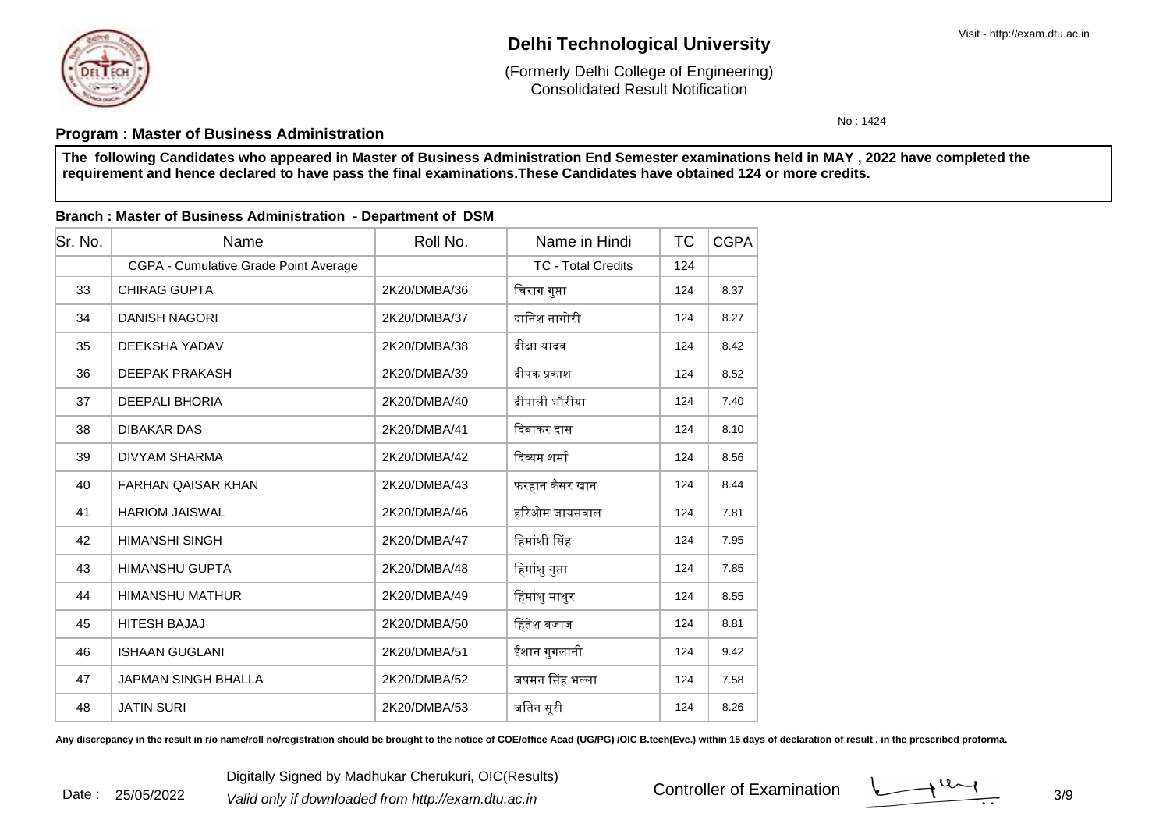Consolidated Result Notification(Formerly Delhi College of Engineering)

No : 1424

## **Program : Master of Business Administration**

 **The following Candidates who appeared in Master of Business Administration End Semester examinations held in MAY , 2022 have completed therequirement and hence declared to have pass the final examinations.These Candidates have obtained 124 or more credits.**

### **Branch : Master of Business Administration - Department of DSM**

| Sr. No. | Name                                  | Roll No.     | Name in Hindi             | ТC  | <b>CGPA</b> |
|---------|---------------------------------------|--------------|---------------------------|-----|-------------|
|         | CGPA - Cumulative Grade Point Average |              | <b>TC - Total Credits</b> | 124 |             |
| 33      | <b>CHIRAG GUPTA</b>                   | 2K20/DMBA/36 | चिराग गुप्ता              | 124 | 8.37        |
| 34      | <b>DANISH NAGORI</b>                  | 2K20/DMBA/37 | दानिश नागोरी              | 124 | 8.27        |
| 35      | DEEKSHA YADAV                         | 2K20/DMBA/38 | दीक्षा यादव               | 124 | 8.42        |
| 36      | <b>DEEPAK PRAKASH</b>                 | 2K20/DMBA/39 | दीपक प्रकाश               | 124 | 8.52        |
| 37      | <b>DEEPALI BHORIA</b>                 | 2K20/DMBA/40 | दीपाली भौरीया             | 124 | 7.40        |
| 38      | <b>DIBAKAR DAS</b>                    | 2K20/DMBA/41 | दिबाकर दास                | 124 | 8.10        |
| 39      | <b>DIVYAM SHARMA</b>                  | 2K20/DMBA/42 | दिव्यम शर्मा              | 124 | 8.56        |
| 40      | <b>FARHAN QAISAR KHAN</b>             | 2K20/DMBA/43 | फरहान कैसर खान            | 124 | 8.44        |
| 41      | <b>HARIOM JAISWAL</b>                 | 2K20/DMBA/46 | हरिओम जायसवाल             | 124 | 7.81        |
| 42      | <b>HIMANSHI SINGH</b>                 | 2K20/DMBA/47 | हिमांशी सिंह              | 124 | 7.95        |
| 43      | <b>HIMANSHU GUPTA</b>                 | 2K20/DMBA/48 | हिमांशु गुप्ता            | 124 | 7.85        |
| 44      | <b>HIMANSHU MATHUR</b>                | 2K20/DMBA/49 | हिमांशु माथुर             | 124 | 8.55        |
| 45      | <b>HITESH BAJAJ</b>                   | 2K20/DMBA/50 | हितेश बजाज                | 124 | 8.81        |
| 46      | <b>ISHAAN GUGLANI</b>                 | 2K20/DMBA/51 | ईशान गुगलानी              | 124 | 9.42        |
| 47      | <b>JAPMAN SINGH BHALLA</b>            | 2K20/DMBA/52 | जपमन सिंह भल्ला           | 124 | 7.58        |
| 48      | <b>JATIN SURI</b>                     | 2K20/DMBA/53 | जतिन सूरी                 | 124 | 8.26        |

Any discrepancy in the result in r/o name/roll no/registration should be brought to the notice of COE/office Acad (UG/PG) /OIC B.tech(Eve.) within 15 days of declaration of result, in the prescribed proforma.

Digitally Signed by Madhukar Cherukuri, OIC(Results)<br><sup>2</sup> Valid only if downloaded from http://exam.dtu.ac.in Controller of Examination Date : 25/05/2022

 $\frac{3}{9}$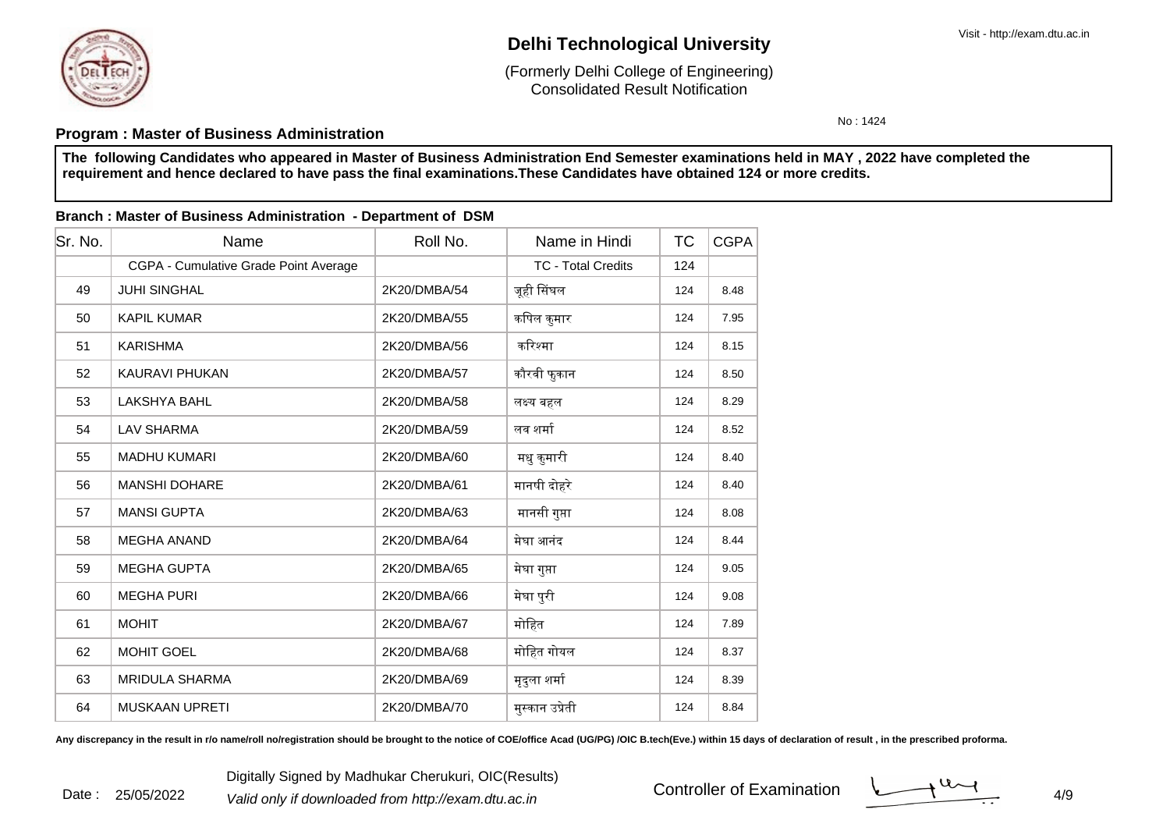# **Delhi Technological University**

Consolidated Result Notification(Formerly Delhi College of Engineering)

No : 1424

## **Program : Master of Business Administration**

 **The following Candidates who appeared in Master of Business Administration End Semester examinations held in MAY , 2022 have completed therequirement and hence declared to have pass the final examinations.These Candidates have obtained 124 or more credits.**

### **Branch : Master of Business Administration - Department of DSM**

| Sr. No. | Name                                  | Roll No.     | Name in Hindi             | ТC  | CGPA |
|---------|---------------------------------------|--------------|---------------------------|-----|------|
|         | CGPA - Cumulative Grade Point Average |              | <b>TC - Total Credits</b> | 124 |      |
| 49      | <b>JUHI SINGHAL</b>                   | 2K20/DMBA/54 | जूही सिंघल                | 124 | 8.48 |
| 50      | <b>KAPIL KUMAR</b>                    | 2K20/DMBA/55 | कपिल कुमार                | 124 | 7.95 |
| 51      | <b>KARISHMA</b>                       | 2K20/DMBA/56 | करिश्मा                   | 124 | 8.15 |
| 52      | <b>KAURAVI PHUKAN</b>                 | 2K20/DMBA/57 | कौरवी फुकान               | 124 | 8.50 |
| 53      | <b>LAKSHYA BAHL</b>                   | 2K20/DMBA/58 | लक्ष्य बहल                | 124 | 8.29 |
| 54      | <b>LAV SHARMA</b>                     | 2K20/DMBA/59 | लव शर्मा                  | 124 | 8.52 |
| 55      | <b>MADHU KUMARI</b>                   | 2K20/DMBA/60 | मधु कुमारी                | 124 | 8.40 |
| 56      | <b>MANSHI DOHARE</b>                  | 2K20/DMBA/61 | मानषी दोहरे               | 124 | 8.40 |
| 57      | <b>MANSI GUPTA</b>                    | 2K20/DMBA/63 | मानसी गुप्ता              | 124 | 8.08 |
| 58      | <b>MEGHA ANAND</b>                    | 2K20/DMBA/64 | मेघा आनंद                 | 124 | 8.44 |
| 59      | <b>MEGHA GUPTA</b>                    | 2K20/DMBA/65 | मेघा गुप्ता               | 124 | 9.05 |
| 60      | <b>MEGHA PURI</b>                     | 2K20/DMBA/66 | मेघा पुरी                 | 124 | 9.08 |
| 61      | <b>MOHIT</b>                          | 2K20/DMBA/67 | मोहित                     | 124 | 7.89 |
| 62      | <b>MOHIT GOEL</b>                     | 2K20/DMBA/68 | मोहित गोयल                | 124 | 8.37 |
| 63      | <b>MRIDULA SHARMA</b>                 | 2K20/DMBA/69 | मृदुला शर्मा              | 124 | 8.39 |
| 64      | <b>MUSKAAN UPRETI</b>                 | 2K20/DMBA/70 | मुस्कान उप्रेती           | 124 | 8.84 |

Any discrepancy in the result in r/o name/roll no/registration should be brought to the notice of COE/office Acad (UG/PG) /OIC B.tech(Eve.) within 15 days of declaration of result, in the prescribed proforma.

Digitally Signed by Madhukar Cherukuri, OIC(Results)<br><sup>2</sup> Valid only if downloaded from http://exam.dtu.ac.in discussed and the controller of Examination discussed and

 $\frac{1}{1}$  4/9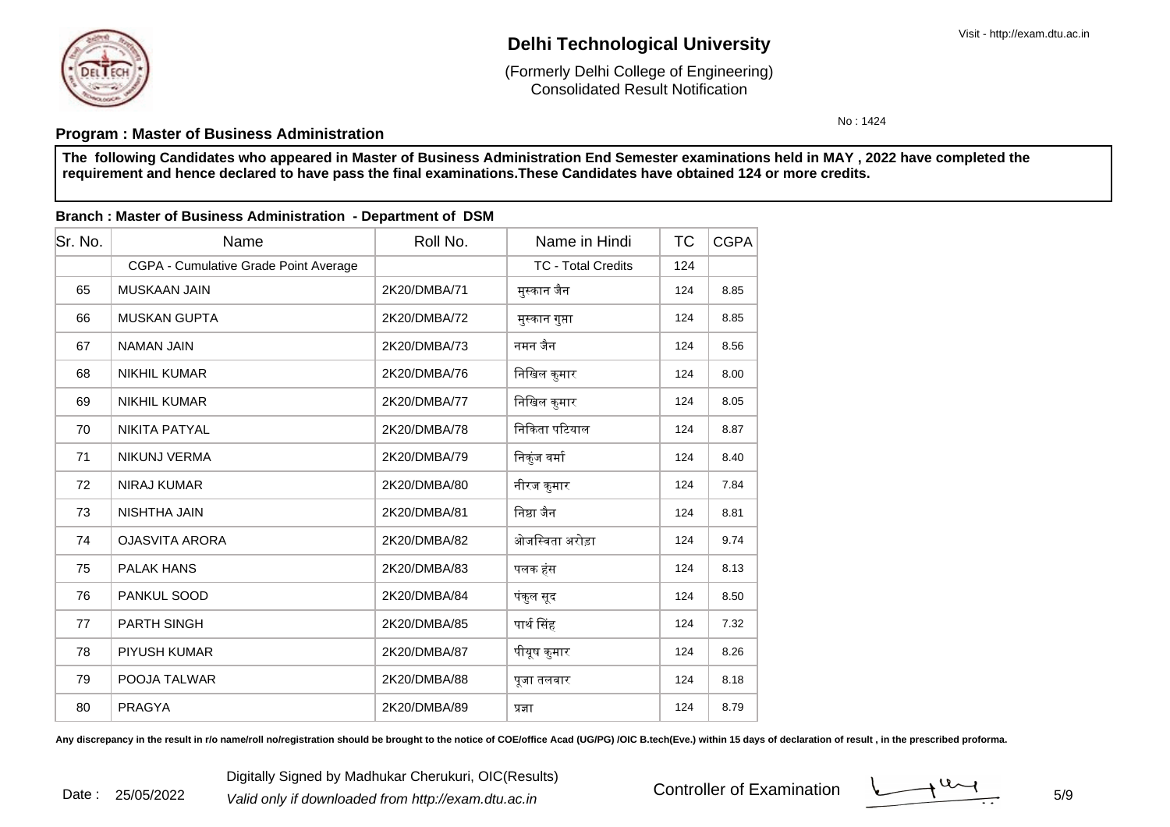# **Delhi Technological University**

Consolidated Result Notification(Formerly Delhi College of Engineering)

No : 1424

## **Program : Master of Business Administration**

 **The following Candidates who appeared in Master of Business Administration End Semester examinations held in MAY , 2022 have completed therequirement and hence declared to have pass the final examinations.These Candidates have obtained 124 or more credits.**

### **Branch : Master of Business Administration - Department of DSM**

| Sr. No. | Name                                  | Roll No.     | Name in Hindi             | ТC  | CGPA |
|---------|---------------------------------------|--------------|---------------------------|-----|------|
|         | CGPA - Cumulative Grade Point Average |              | <b>TC - Total Credits</b> | 124 |      |
| 65      | <b>MUSKAAN JAIN</b>                   | 2K20/DMBA/71 | मुस्कान जैन               | 124 | 8.85 |
| 66      | <b>MUSKAN GUPTA</b>                   | 2K20/DMBA/72 | मुस्कान गुप्ता            | 124 | 8.85 |
| 67      | <b>NAMAN JAIN</b>                     | 2K20/DMBA/73 | नमन जैन                   | 124 | 8.56 |
| 68      | <b>NIKHIL KUMAR</b>                   | 2K20/DMBA/76 | निखिल कुमार               | 124 | 8.00 |
| 69      | <b>NIKHIL KUMAR</b>                   | 2K20/DMBA/77 | निखिल कुमार               | 124 | 8.05 |
| 70      | NIKITA PATYAL                         | 2K20/DMBA/78 | निकिता पटियाल             | 124 | 8.87 |
| 71      | <b>NIKUNJ VERMA</b>                   | 2K20/DMBA/79 | निकुंज वर्मा              | 124 | 8.40 |
| 72      | <b>NIRAJ KUMAR</b>                    | 2K20/DMBA/80 | नीरज कुमार                | 124 | 7.84 |
| 73      | NISHTHA JAIN                          | 2K20/DMBA/81 | निष्ठा जैन                | 124 | 8.81 |
| 74      | <b>OJASVITA ARORA</b>                 | 2K20/DMBA/82 | ओजस्विता अरोड़ा           | 124 | 9.74 |
| 75      | <b>PALAK HANS</b>                     | 2K20/DMBA/83 | पलक हंस                   | 124 | 8.13 |
| 76      | PANKUL SOOD                           | 2K20/DMBA/84 | पंकुल सूद                 | 124 | 8.50 |
| 77      | <b>PARTH SINGH</b>                    | 2K20/DMBA/85 | पार्थ सिंह                | 124 | 7.32 |
| 78      | <b>PIYUSH KUMAR</b>                   | 2K20/DMBA/87 | पीयूष कुमार               | 124 | 8.26 |
| 79      | POOJA TALWAR                          | 2K20/DMBA/88 | पूजा तलवार                | 124 | 8.18 |
| 80      | <b>PRAGYA</b>                         | 2K20/DMBA/89 | प्रज्ञा                   | 124 | 8.79 |

Any discrepancy in the result in r/o name/roll no/registration should be brought to the notice of COE/office Acad (UG/PG) /OIC B.tech(Eve.) within 15 days of declaration of result, in the prescribed proforma.

Digitally Signed by Madhukar Cherukuri, OIC(Results)<br><sup>2</sup> Valid only if downloaded from http://exam.dtu.ac.in 5/

 $\frac{1}{1}$  5/9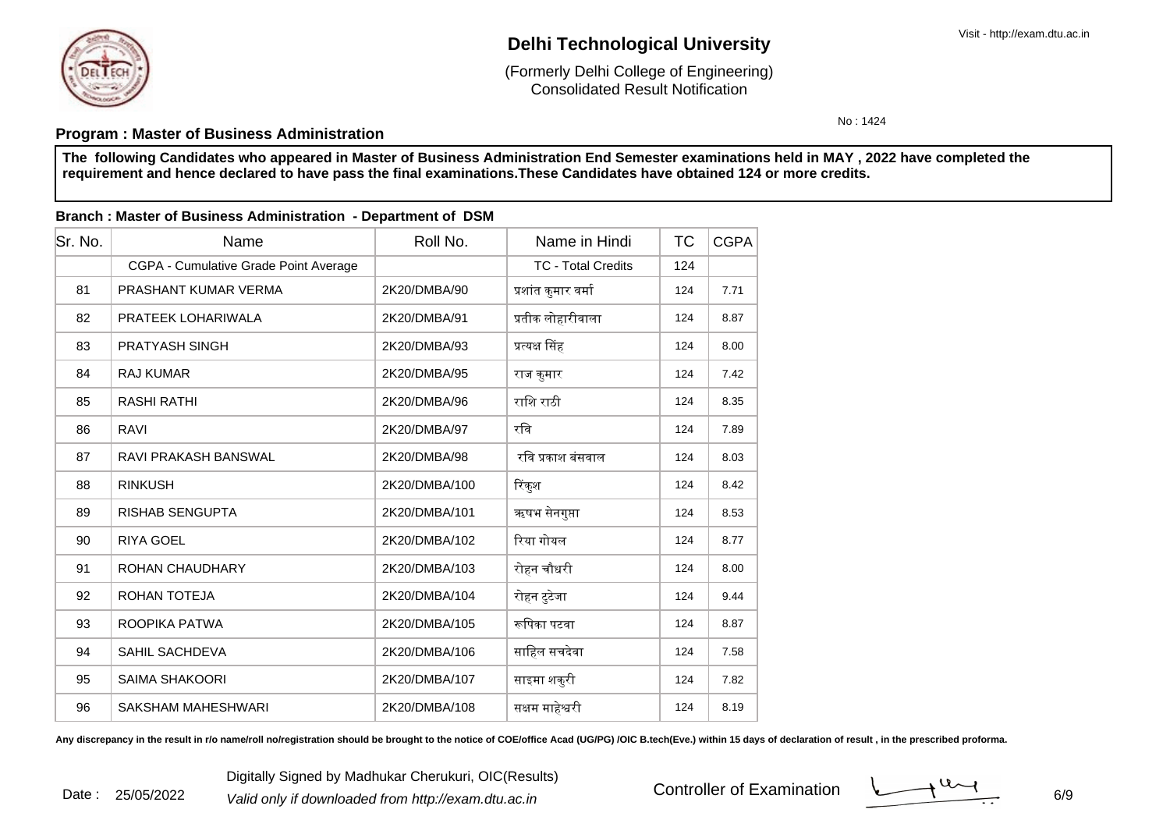Consolidated Result Notification(Formerly Delhi College of Engineering)

No : 1424

## **Program : Master of Business Administration**

 **The following Candidates who appeared in Master of Business Administration End Semester examinations held in MAY , 2022 have completed therequirement and hence declared to have pass the final examinations.These Candidates have obtained 124 or more credits.**

### **Branch : Master of Business Administration - Department of DSM**

| Sr. No. | Name                                  | Roll No.      | Name in Hindi             | ТC  | <b>CGPA</b> |
|---------|---------------------------------------|---------------|---------------------------|-----|-------------|
|         | CGPA - Cumulative Grade Point Average |               | <b>TC - Total Credits</b> | 124 |             |
| 81      | PRASHANT KUMAR VERMA                  | 2K20/DMBA/90  | प्रशांत कुमार वर्मा       | 124 | 7.71        |
| 82      | PRATEEK LOHARIWALA                    | 2K20/DMBA/91  | प्रतीक लोहारीवाला         | 124 | 8.87        |
| 83      | <b>PRATYASH SINGH</b>                 | 2K20/DMBA/93  | प्रत्यक्ष सिंह            | 124 | 8.00        |
| 84      | <b>RAJ KUMAR</b>                      | 2K20/DMBA/95  | राज कुमार                 | 124 | 7.42        |
| 85      | <b>RASHI RATHI</b>                    | 2K20/DMBA/96  | राशि राठी                 | 124 | 8.35        |
| 86      | <b>RAVI</b>                           | 2K20/DMBA/97  | रवि                       | 124 | 7.89        |
| 87      | <b>RAVI PRAKASH BANSWAL</b>           | 2K20/DMBA/98  | रवि प्रकाश बंसवाल         | 124 | 8.03        |
| 88      | <b>RINKUSH</b>                        | 2K20/DMBA/100 | रिंकुश                    | 124 | 8.42        |
| 89      | RISHAB SENGUPTA                       | 2K20/DMBA/101 | ऋषभ सेनगुप्ता             | 124 | 8.53        |
| 90      | <b>RIYA GOEL</b>                      | 2K20/DMBA/102 | रिया गोयल                 | 124 | 8.77        |
| 91      | <b>ROHAN CHAUDHARY</b>                | 2K20/DMBA/103 | रोहन चौधरी                | 124 | 8.00        |
| 92      | ROHAN TOTEJA                          | 2K20/DMBA/104 | रोहन टुटेजा               | 124 | 9.44        |
| 93      | ROOPIKA PATWA                         | 2K20/DMBA/105 | रूपिका पटवा               | 124 | 8.87        |
| 94      | <b>SAHIL SACHDEVA</b>                 | 2K20/DMBA/106 | साहिल सचदेवा              | 124 | 7.58        |
| 95      | <b>SAIMA SHAKOORI</b>                 | 2K20/DMBA/107 | साइमा शकुरी               | 124 | 7.82        |
| 96      | SAKSHAM MAHESHWARI                    | 2K20/DMBA/108 | सक्षम माहेश्वरी           | 124 | 8.19        |

Any discrepancy in the result in r/o name/roll no/registration should be brought to the notice of COE/office Acad (UG/PG) /OIC B.tech(Eve.) within 15 days of declaration of result, in the prescribed proforma.

 $6/9$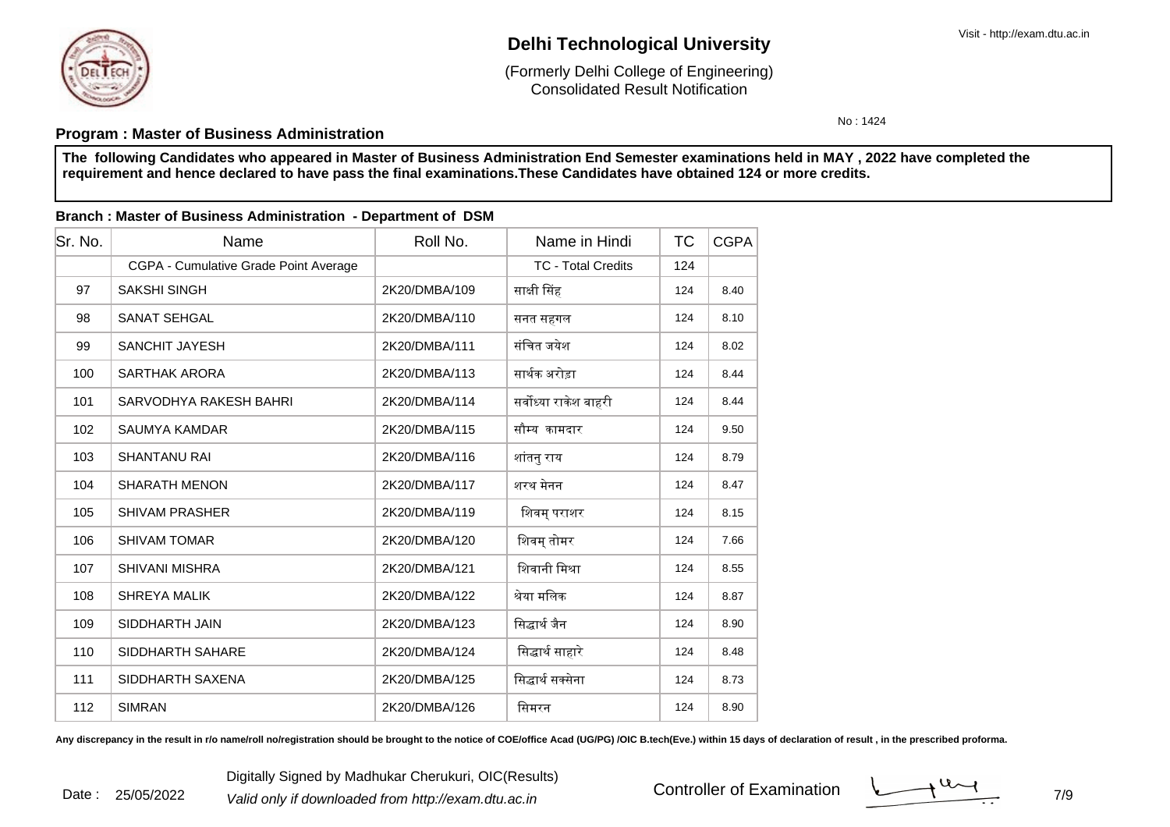Consolidated Result Notification(Formerly Delhi College of Engineering)

No : 1424

## **Program : Master of Business Administration**

 **The following Candidates who appeared in Master of Business Administration End Semester examinations held in MAY , 2022 have completed therequirement and hence declared to have pass the final examinations.These Candidates have obtained 124 or more credits.**

### **Branch : Master of Business Administration - Department of DSM**

| Sr. No. | Name                                  | Roll No.      | Name in Hindi             | ТC  | <b>CGPA</b> |
|---------|---------------------------------------|---------------|---------------------------|-----|-------------|
|         | CGPA - Cumulative Grade Point Average |               | <b>TC - Total Credits</b> | 124 |             |
| 97      | <b>SAKSHI SINGH</b>                   | 2K20/DMBA/109 | साक्षी सिंह               | 124 | 8.40        |
| 98      | <b>SANAT SEHGAL</b>                   | 2K20/DMBA/110 | सनत सहगल                  | 124 | 8.10        |
| 99      | <b>SANCHIT JAYESH</b>                 | 2K20/DMBA/111 | संचित जयेश                | 124 | 8.02        |
| 100     | SARTHAK ARORA                         | 2K20/DMBA/113 | सार्थक अरोड़ा             | 124 | 8.44        |
| 101     | SARVODHYA RAKESH BAHRI                | 2K20/DMBA/114 | सर्वोध्या राकेश बाहरी     | 124 | 8.44        |
| 102     | SAUMYA KAMDAR                         | 2K20/DMBA/115 | सौम्य कामदार              | 124 | 9.50        |
| 103     | <b>SHANTANU RAI</b>                   | 2K20/DMBA/116 | शांतनु राय                | 124 | 8.79        |
| 104     | <b>SHARATH MENON</b>                  | 2K20/DMBA/117 | शरथ मेनन                  | 124 | 8.47        |
| 105     | <b>SHIVAM PRASHER</b>                 | 2K20/DMBA/119 | शिवम् पराशर               | 124 | 8.15        |
| 106     | <b>SHIVAM TOMAR</b>                   | 2K20/DMBA/120 | शिवम् तोमर                | 124 | 7.66        |
| 107     | <b>SHIVANI MISHRA</b>                 | 2K20/DMBA/121 | शिवानी मिश्रा             | 124 | 8.55        |
| 108     | SHREYA MALIK                          | 2K20/DMBA/122 | श्रेया मलिक               | 124 | 8.87        |
| 109     | SIDDHARTH JAIN                        | 2K20/DMBA/123 | सिद्धार्थ जैन             | 124 | 8.90        |
| 110     | SIDDHARTH SAHARE                      | 2K20/DMBA/124 | सिद्धार्थ साहारे          | 124 | 8.48        |
| 111     | SIDDHARTH SAXENA                      | 2K20/DMBA/125 | सिद्धार्थ सक्सेना         | 124 | 8.73        |
| 112     | <b>SIMRAN</b>                         | 2K20/DMBA/126 | सिमरन                     | 124 | 8.90        |

Any discrepancy in the result in r/o name/roll no/registration should be brought to the notice of COE/office Acad (UG/PG) /OIC B.tech(Eve.) within 15 days of declaration of result, in the prescribed proforma.

 $\frac{1}{1}$   $\frac{1}{1}$   $\frac{1}{1}$   $\frac{1}{1}$   $\frac{1}{1}$   $\frac{1}{1}$   $\frac{1}{1}$   $\frac{1}{1}$   $\frac{1}{1}$   $\frac{1}{1}$   $\frac{1}{1}$   $\frac{1}{1}$   $\frac{1}{1}$   $\frac{1}{1}$   $\frac{1}{1}$   $\frac{1}{1}$   $\frac{1}{1}$   $\frac{1}{1}$   $\frac{1}{1}$   $\frac{1}{1}$   $\frac{1}{1}$   $\frac{1}{1}$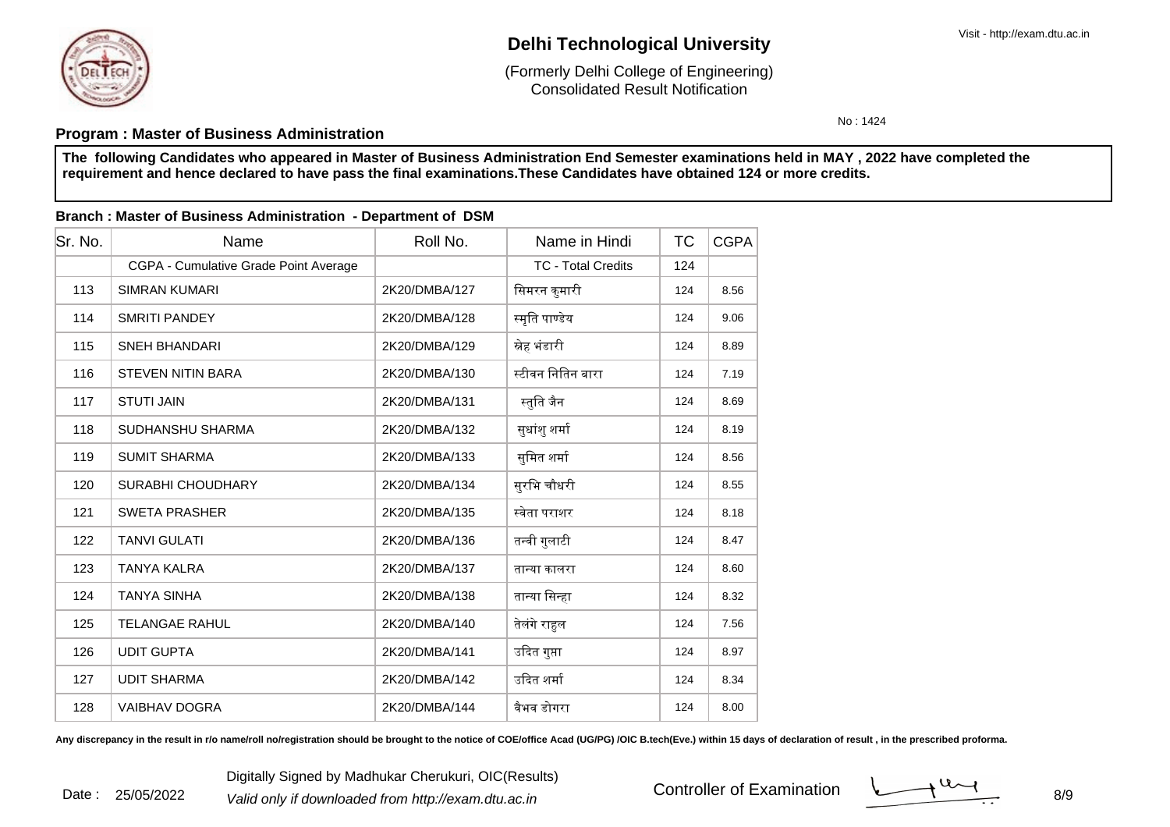# **Delhi Technological University**

Consolidated Result Notification(Formerly Delhi College of Engineering)

No : 1424

## **Program : Master of Business Administration**

 **The following Candidates who appeared in Master of Business Administration End Semester examinations held in MAY , 2022 have completed therequirement and hence declared to have pass the final examinations.These Candidates have obtained 124 or more credits.**

### **Branch : Master of Business Administration - Department of DSM**

| Sr. No. | Name                                  | Roll No.      | Name in Hindi             | ТC  | CGPA |
|---------|---------------------------------------|---------------|---------------------------|-----|------|
|         | CGPA - Cumulative Grade Point Average |               | <b>TC - Total Credits</b> | 124 |      |
| 113     | <b>SIMRAN KUMARI</b>                  | 2K20/DMBA/127 | सिमरन कुमारी              | 124 | 8.56 |
| 114     | <b>SMRITI PANDEY</b>                  | 2K20/DMBA/128 | स्मृति पाण्डेय            | 124 | 9.06 |
| 115     | <b>SNEH BHANDARI</b>                  | 2K20/DMBA/129 | स्नेह भंडारी              | 124 | 8.89 |
| 116     | <b>STEVEN NITIN BARA</b>              | 2K20/DMBA/130 | स्टीवन नितिन बारा         | 124 | 7.19 |
| 117     | <b>STUTI JAIN</b>                     | 2K20/DMBA/131 | स्तुति जैन                | 124 | 8.69 |
| 118     | SUDHANSHU SHARMA                      | 2K20/DMBA/132 | सुधांशु शर्मा             | 124 | 8.19 |
| 119     | <b>SUMIT SHARMA</b>                   | 2K20/DMBA/133 | सुमित शर्मा               | 124 | 8.56 |
| 120     | <b>SURABHI CHOUDHARY</b>              | 2K20/DMBA/134 | सुरभि चौधरी               | 124 | 8.55 |
| 121     | <b>SWETA PRASHER</b>                  | 2K20/DMBA/135 | स्वेता पराशर              | 124 | 8.18 |
| 122     | <b>TANVI GULATI</b>                   | 2K20/DMBA/136 | तन्वी गुलाटी              | 124 | 8.47 |
| 123     | <b>TANYA KALRA</b>                    | 2K20/DMBA/137 | तान्या कालरा              | 124 | 8.60 |
| 124     | <b>TANYA SINHA</b>                    | 2K20/DMBA/138 | तान्या सिन्हा             | 124 | 8.32 |
| 125     | <b>TELANGAE RAHUL</b>                 | 2K20/DMBA/140 | तेलंगे राहुल              | 124 | 7.56 |
| 126     | <b>UDIT GUPTA</b>                     | 2K20/DMBA/141 | उदित गुप्ता               | 124 | 8.97 |
| 127     | <b>UDIT SHARMA</b>                    | 2K20/DMBA/142 | उदित शर्मा                | 124 | 8.34 |
| 128     | <b>VAIBHAV DOGRA</b>                  | 2K20/DMBA/144 | वैभव डोगरा                | 124 | 8.00 |

Any discrepancy in the result in r/o name/roll no/registration should be brought to the notice of COE/office Acad (UG/PG) /OIC B.tech(Eve.) within 15 days of declaration of result, in the prescribed proforma.

 $8/9$